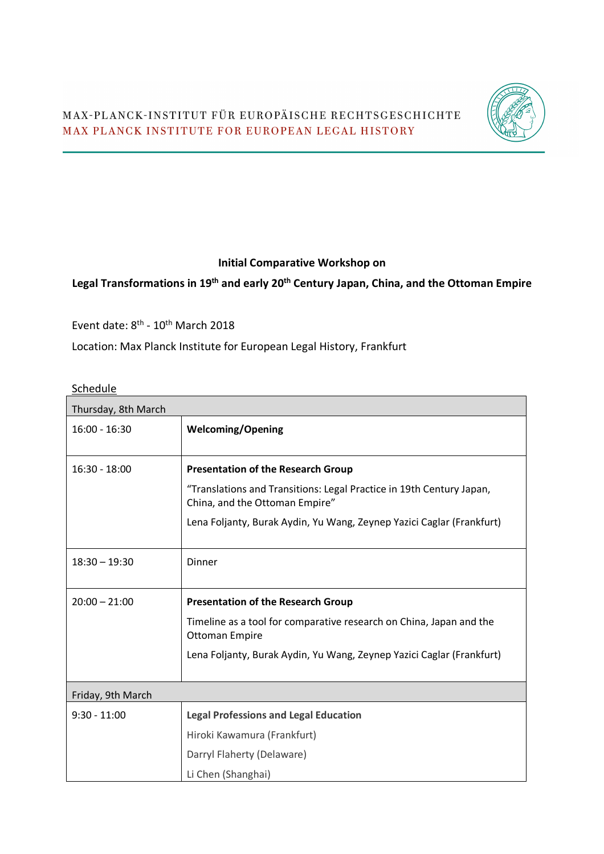

## **Initial Comparative Workshop on**

## **Legal Transformations in 19th and early 20th Century Japan, China, and the Ottoman Empire**

Event date:  $8^{\text{th}}$  -  $10^{\text{th}}$  March 2018

Location: Max Planck Institute for European Legal History, Frankfurt

## **Schedule**

| Thursday, 8th March |                                                                                                        |  |
|---------------------|--------------------------------------------------------------------------------------------------------|--|
| $16:00 - 16:30$     | <b>Welcoming/Opening</b>                                                                               |  |
| $16:30 - 18:00$     | <b>Presentation of the Research Group</b>                                                              |  |
|                     | "Translations and Transitions: Legal Practice in 19th Century Japan,<br>China, and the Ottoman Empire" |  |
|                     | Lena Foljanty, Burak Aydin, Yu Wang, Zeynep Yazici Caglar (Frankfurt)                                  |  |
| $18:30 - 19:30$     | Dinner                                                                                                 |  |
| $20:00 - 21:00$     | <b>Presentation of the Research Group</b>                                                              |  |
|                     | Timeline as a tool for comparative research on China, Japan and the<br><b>Ottoman Empire</b>           |  |
|                     | Lena Foljanty, Burak Aydin, Yu Wang, Zeynep Yazici Caglar (Frankfurt)                                  |  |
| Friday, 9th March   |                                                                                                        |  |
| $9:30 - 11:00$      | <b>Legal Professions and Legal Education</b>                                                           |  |
|                     | Hiroki Kawamura (Frankfurt)                                                                            |  |
|                     | Darryl Flaherty (Delaware)                                                                             |  |
|                     | Li Chen (Shanghai)                                                                                     |  |